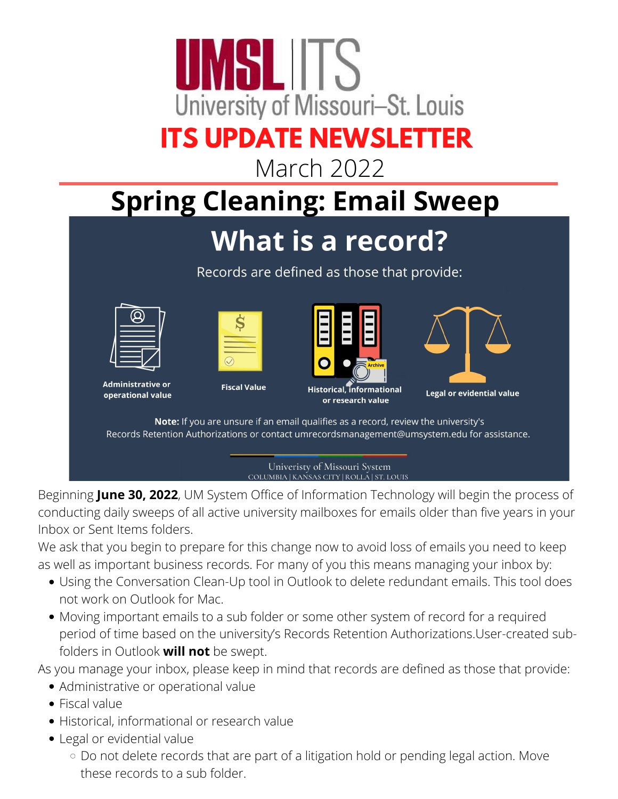

March 2022

### **Spring Cleaning: Email Sweep**

#### What is a record?

Records are defined as those that provide:





|  | <b>Archive</b> |  |
|--|----------------|--|



**Administrative or** operational value

**Fiscal Value** 

**Historical.** informational or research value

**Legal or evidential value** 

Note: If you are unsure if an email qualifies as a record, review the university's Records Retention Authorizations or contact umrecordsmanagement@umsystem.edu for assistance.

> Univeristy of Missouri System COLUMBIA | KANSAS CITY | ROLLA | ST. LOUIS

Beginning **June 30, 2022**, UM System Office of Information Technology will begin the process of conducting daily sweeps of all active university mailboxes for emails older than five years in your Inbox or Sent Items folders.

We ask that you begin to prepare for this change now to avoid loss of emails you need to keep as well as important business records. For many of you this means managing your inbox by:

- Using the [Conversation](https://www.umsystem.edu/ums/is/new-security-usability-features) Clean-Up toolin Outlook to delete redundant emails. This tool does not work on Outlook for Mac.
- Moving important emails to a sub folder or some other system of record for a required period of time based on the university's Records Retention [Authorizations](https://www.umsystem.edu/ums/fa/management/records/guide/records-retention-authorization).User-created subfolders in Outlook **will not** be swept.

As you manage your inbox, please keep in mind that records are defined as those that provide:

- Administrative or operational value
- Fiscal value
- Historical, informational or research value
- Legal or evidential value
	- o Do not delete records that are part of a litigation hold or pending legal action. Move these records to a sub folder.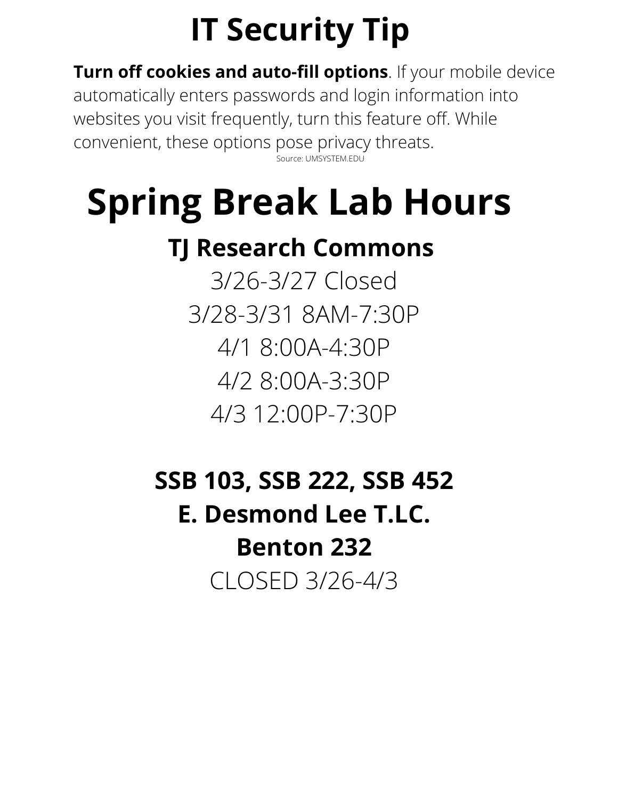## **IT Security Tip**

**Turn off cookies and auto-fill options**. If your mobile device automatically enters passwords and login information into websites you visit frequently, turn this feature off. While convenient, these options pose privacy threats. Source: UMSYSTEM.EDU

# **Spring Break Lab Hours**

#### **TJ Research Commons**

3/26-3/27 Closed 3/28-3/31 8AM-7:30P 4/1 8:00A-4:30P 4/2 8:00A-3:30P 4/3 12:00P-7:30P

### **SSB 103, SSB 222, SSB 452 E. Desmond Lee T.LC. Benton 232** CLOSED 3/26-4/3